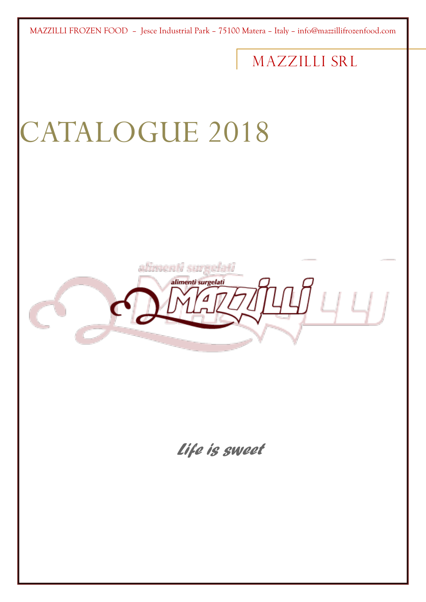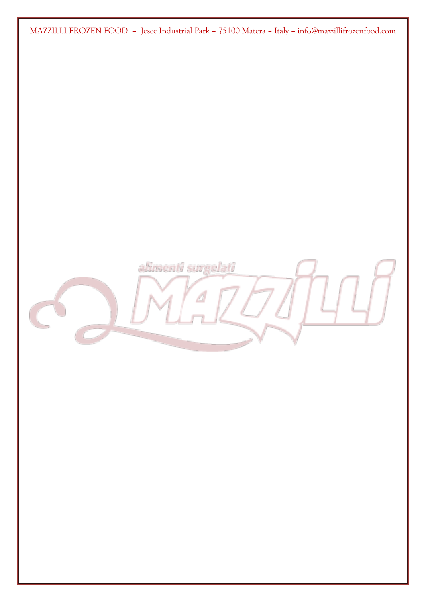MAZZILLI FROZEN FOOD – Jesce Industrial Park – 75100 Matera – Italy – info@mazzillifrozenfood.comalimenti surgelati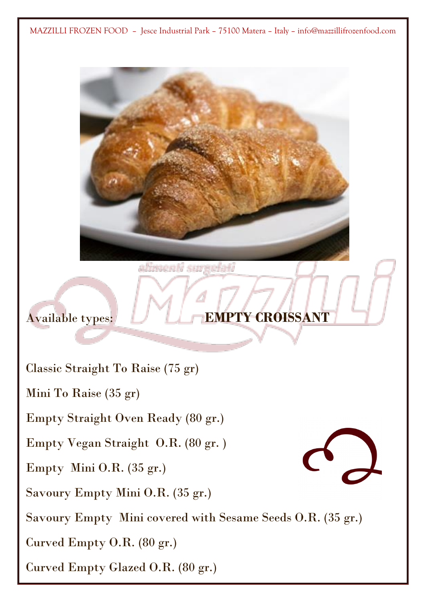

alimenti surgelati

### Available types: **EMPTY CROISSANT**

Classic Straight To Raise (75 gr)

Mini To Raise (35 gr)

Empty Straight Oven Ready (80 gr.)

Empty Vegan Straight O.R. (80 gr. )

Empty Mini O.R. (35 gr.)

Savoury Empty Mini O.R. (35 gr.)

Savoury Empty Mini covered with Sesame Seeds O.R. (35 gr.)

Curved Empty O.R. (80 gr.)

Curved Empty Glazed O.R. (80 gr.)

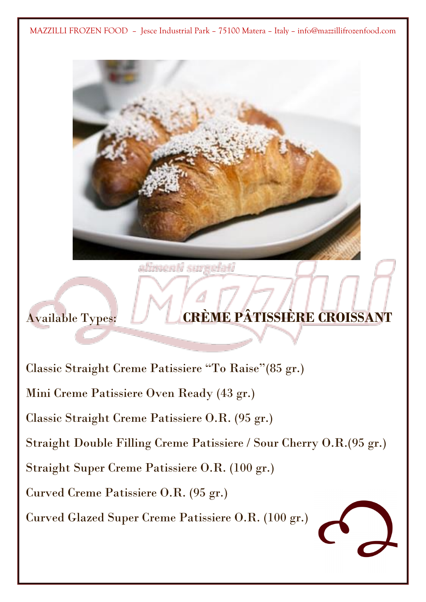

alimenti surgelati

# Available Types: **CRÈME PÂTISSIÈRE CROISSANT**

Classic Straight Creme Patissiere "To Raise"(85 gr.)

Mini Creme Patissiere Oven Ready (43 gr.)

Classic Straight Creme Patissiere O.R. (95 gr.)

Straight Double Filling Creme Patissiere / Sour Cherry O.R.(95 gr.)

Straight Super Creme Patissiere O.R. (100 gr.)

Curved Creme Patissiere O.R. (95 gr.)

Curved Glazed Super Creme Patissiere O.R. (100 gr.)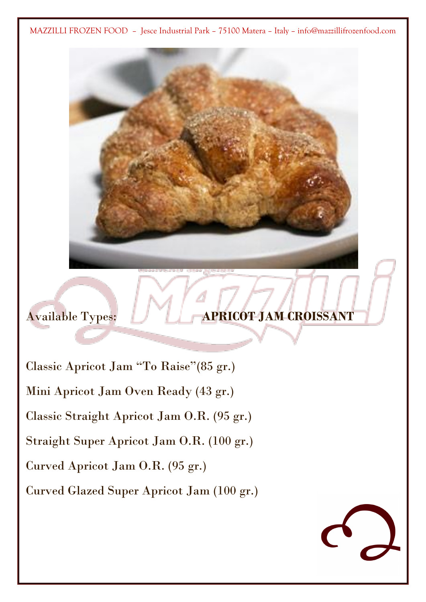### Available Types: **APRICOT JAM CROISSANT**

Classic Apricot Jam "To Raise"(85 gr.) Mini Apricot Jam Oven Ready (43 gr.) Classic Straight Apricot Jam O.R. (95 gr.) Straight Super Apricot Jam O.R. (100 gr.) Curved Apricot Jam O.R. (95 gr.) Curved Glazed Super Apricot Jam (100 gr.)

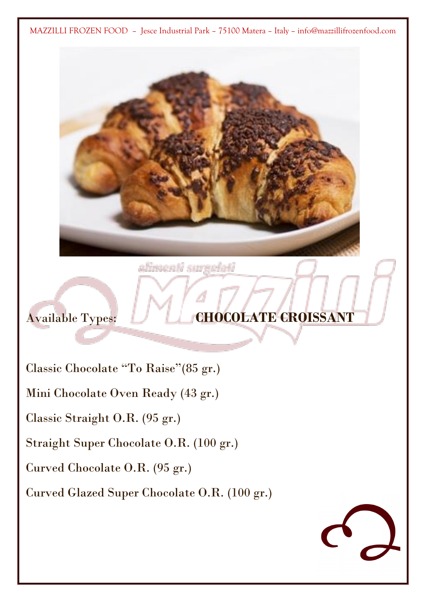

alimenti surgelati

## Available Types: **CHOCOLATE CROISSANT**

Classic Chocolate "To Raise"(85 gr.)

Mini Chocolate Oven Ready (43 gr.)

Classic Straight O.R. (95 gr.)

Straight Super Chocolate O.R. (100 gr.)

Curved Chocolate O.R. (95 gr.)

Curved Glazed Super Chocolate O.R. (100 gr.)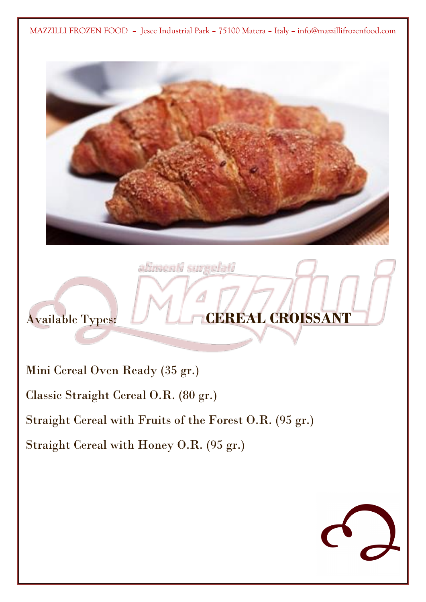

alimenti surgelati

Available Types: **CEREAL CROISSANT** 

Mini Cereal Oven Ready (35 gr.)

Classic Straight Cereal O.R. (80 gr.)

Straight Cereal with Fruits of the Forest O.R. (95 gr.)

Straight Cereal with Honey O.R. (95 gr.)

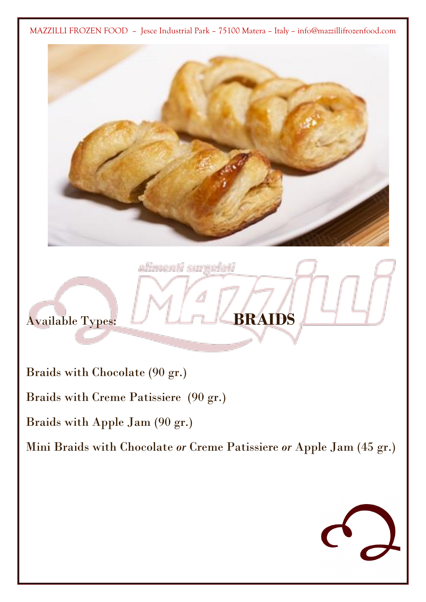

alimenti surgelati

Available Types: **BRAIDS** 

Braids with Chocolate (90 gr.)

Braids with Creme Patissiere (90 gr.)

Braids with Apple Jam (90 gr.)

Mini Braids with Chocolate *or* Creme Patissiere *or* Apple Jam (45 gr.)

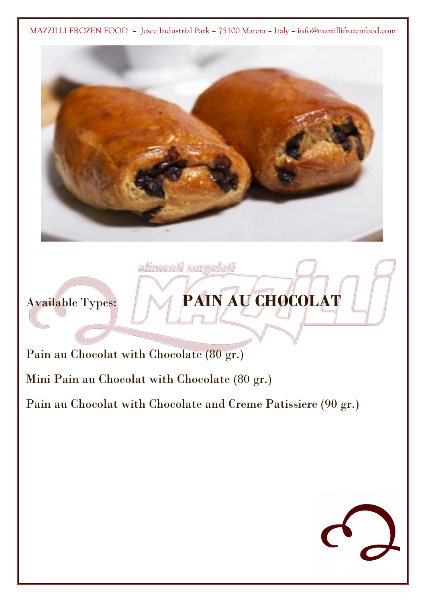

Available Types: **PAIN AU CHOCOLAT**

Pain au Chocolat with Chocolate (80 gr.)

Mini Pain au Chocolat with Chocolate (80 gr.)

Pain au Chocolat with Chocolate and Creme Patissiere (90 gr.)

alimenti surgelati

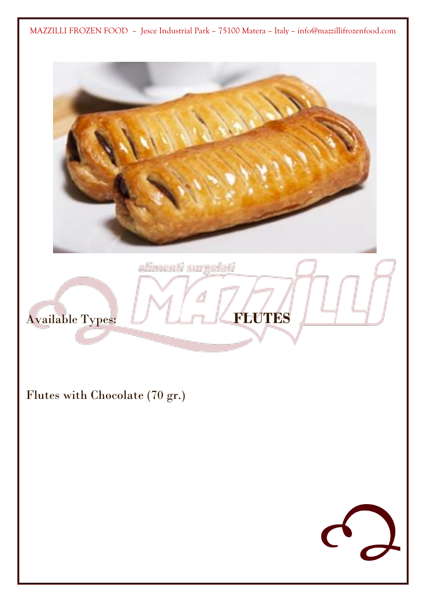

Available Types:  $\Box$  **FLUTES** 

Flutes with Chocolate (70 gr.)

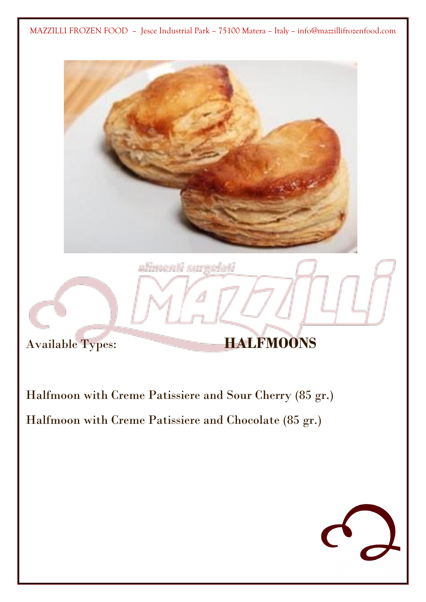



## Available Types: **HALFMOONS**

Halfmoon with Creme Patissiere and Sour Cherry (85 gr.)

Halfmoon with Creme Patissiere and Chocolate (85 gr.)

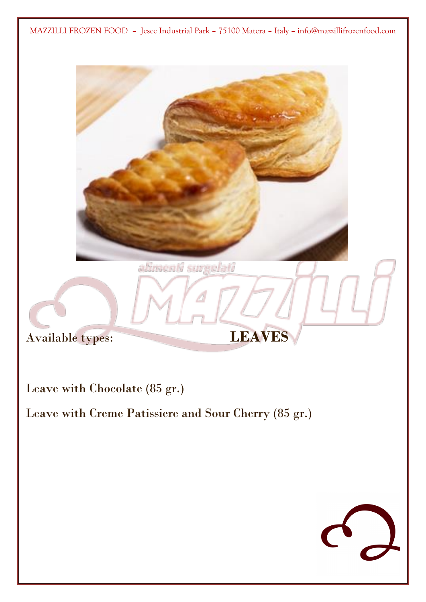

Available types: **LEAVES**

Leave with Chocolate (85 gr.)

Leave with Creme Patissiere and Sour Cherry (85 gr.)

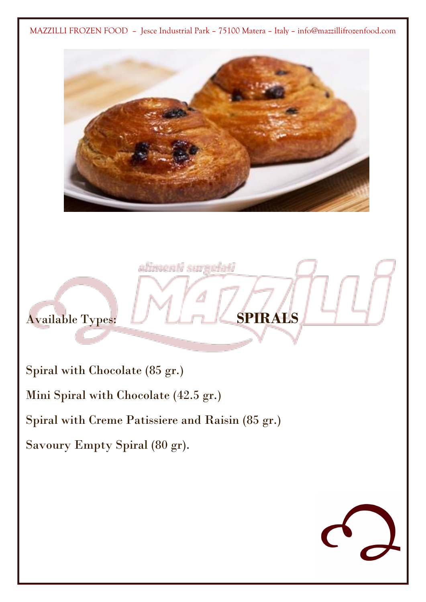

alimenti surgelati

Available Types:  $\Box$  SPIRALS

Spiral with Chocolate (85 gr.)

Mini Spiral with Chocolate (42.5 gr.)

Spiral with Creme Patissiere and Raisin (85 gr.)

Savoury Empty Spiral (80 gr).

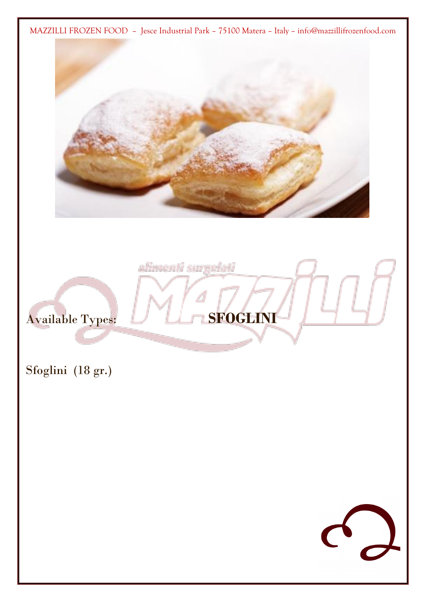



Sfoglini (18 gr.)

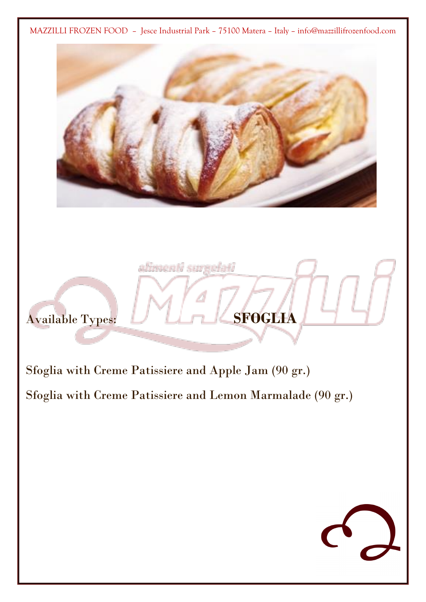

Sfoglia with Creme Patissiere and Apple Jam (90 gr.)

Available Types:  $\Box$  SFOGLIA

Sfoglia with Creme Patissiere and Lemon Marmalade (90 gr.)

alimenti surgelati

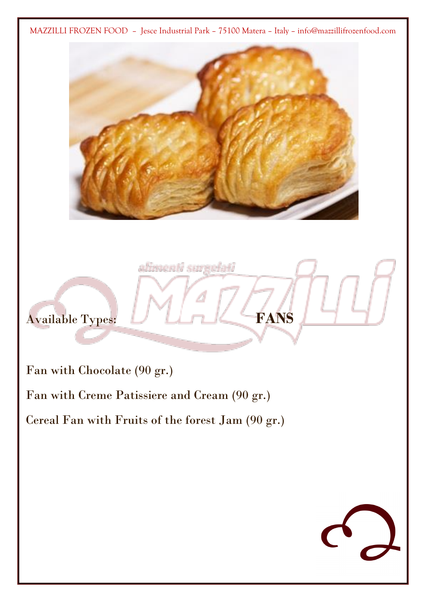

alimenti surgelati

Available Types:  $L_{\text{max}}$  **FANS** 

Fan with Chocolate (90 gr.)

Fan with Creme Patissiere and Cream (90 gr.)

Cereal Fan with Fruits of the forest Jam (90 gr.)

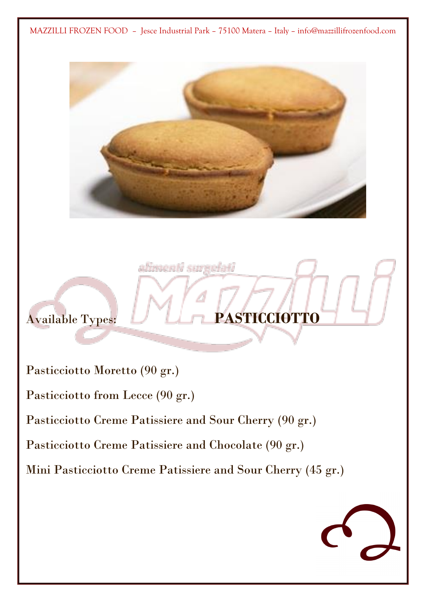

Available Types: **PASTICCIOTTO**

Pasticciotto Moretto (90 gr.)

Pasticciotto from Lecce (90 gr.)

Pasticciotto Creme Patissiere and Sour Cherry (90 gr.)

Pasticciotto Creme Patissiere and Chocolate (90 gr.)

Mini Pasticciotto Creme Patissiere and Sour Cherry (45 gr.)

alimenti surgelati

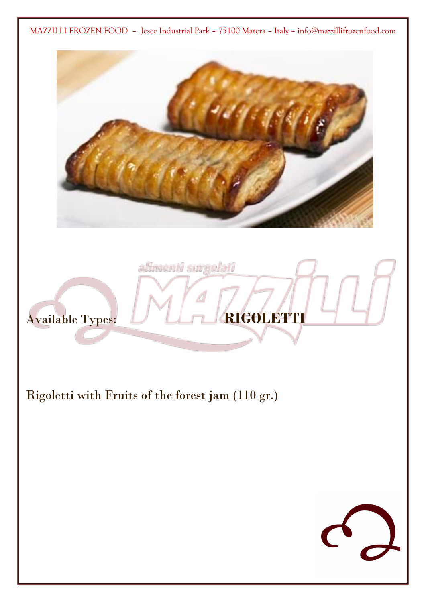



Rigoletti with Fruits of the forest jam (110 gr.)

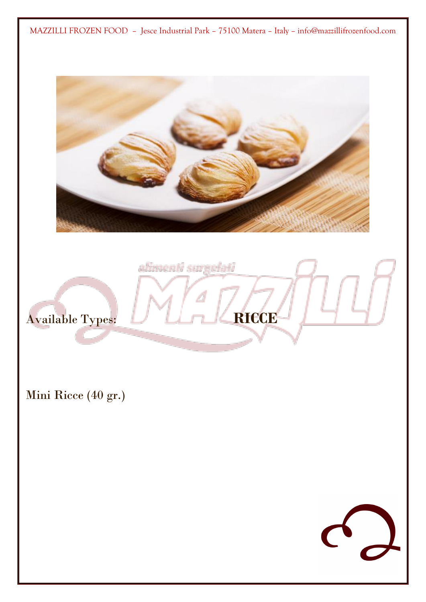



alimenti surgelati

Available Types: **RICCE** 

Mini Ricce (40 gr.)

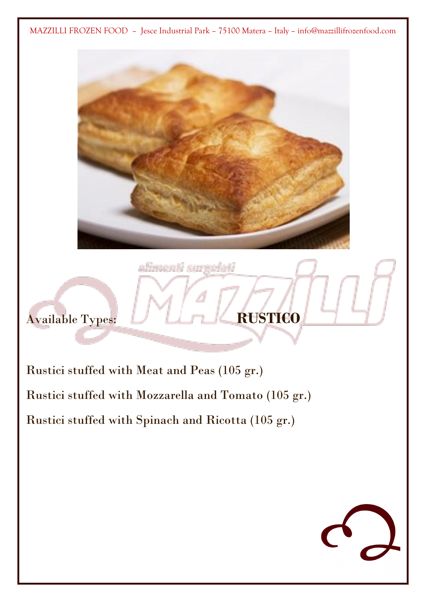

Available Types:  $\Box$  **RUSTICO** 

Rustici stuffed with Meat and Peas (105 gr.)

Rustici stuffed with Mozzarella and Tomato (105 gr.)

alimenti surgelati

Rustici stuffed with Spinach and Ricotta (105 gr.)

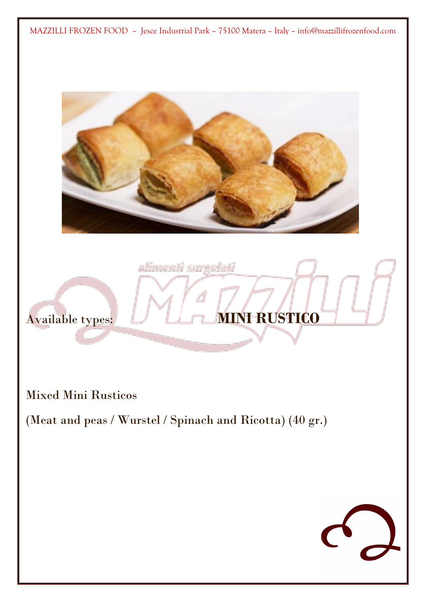





Mixed Mini Rusticos

(Meat and peas / Wurstel / Spinach and Ricotta) (40 gr.)

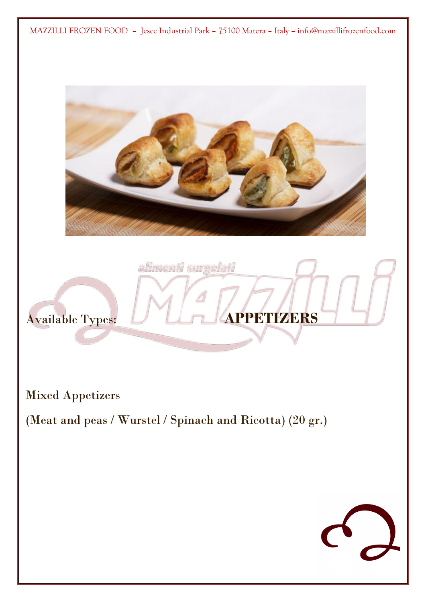



Mixed Appetizers

(Meat and peas / Wurstel / Spinach and Ricotta) (20 gr.)

alimenti surgelati

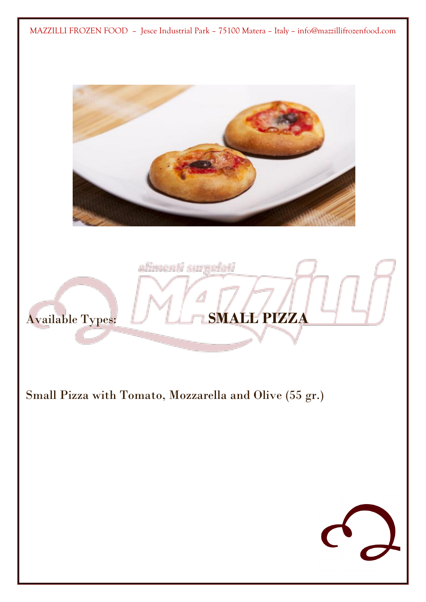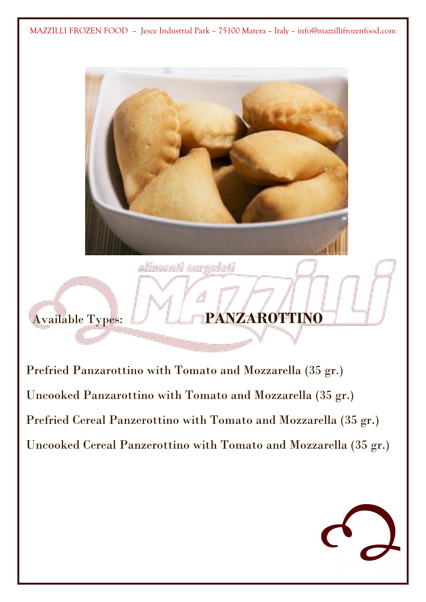

Available Types: **PANZAROTTINO** 

Prefried Panzarottino with Tomato and Mozzarella (35 gr.) Uncooked Panzarottino with Tomato and Mozzarella (35 gr.) Prefried Cereal Panzerottino with Tomato and Mozzarella (35 gr.) Uncooked Cereal Panzerottino with Tomato and Mozzarella (35 gr.)

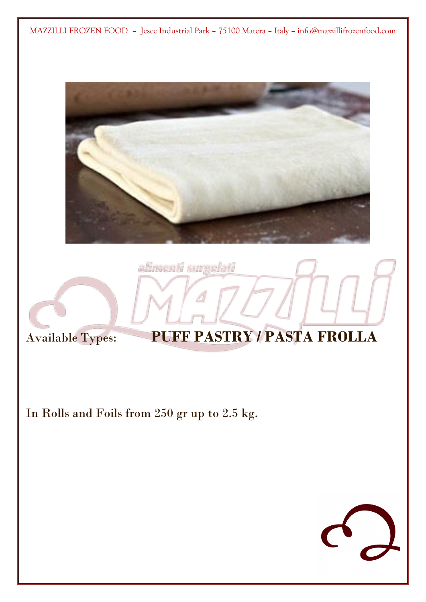

alimenti surgelati

## Available Types: **PUFF PASTRY / PASTA FROLLA**

In Rolls and Foils from 250 gr up to 2.5 kg.

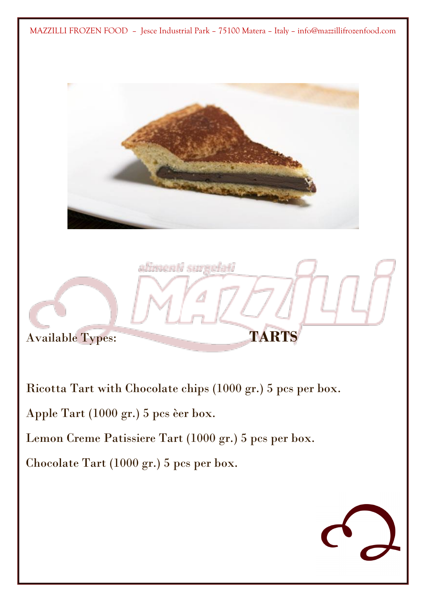



Ricotta Tart with Chocolate chips (1000 gr.) 5 pcs per box.

Apple Tart (1000 gr.) 5 pcs èer box.

Lemon Creme Patissiere Tart (1000 gr.) 5 pcs per box.

Chocolate Tart (1000 gr.) 5 pcs per box.